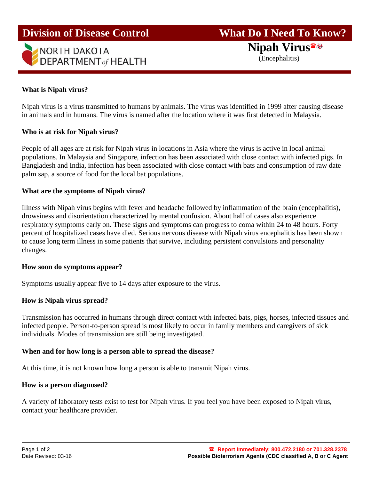# **Division of Disease Control**



# **What Do I Need To Know?**

**Nipah Virus**

(Encephalitis)

# **What is Nipah virus?**

Nipah virus is a virus transmitted to humans by animals. The virus was identified in 1999 after causing disease in animals and in humans. The virus is named after the location where it was first detected in Malaysia.

## **Who is at risk for Nipah virus?**

People of all ages are at risk for Nipah virus in locations in Asia where the virus is active in local animal populations. In Malaysia and Singapore, infection has been associated with close contact with infected pigs. In Bangladesh and India, infection has been associated with close contact with bats and consumption of raw date palm sap, a source of food for the local bat populations.

#### **What are the symptoms of Nipah virus?**

Illness with Nipah virus begins with fever and headache followed by inflammation of the brain (encephalitis), drowsiness and disorientation characterized by mental confusion. About half of cases also experience respiratory symptoms early on. These signs and symptoms can progress to coma within 24 to 48 hours. Forty percent of hospitalized cases have died. Serious nervous disease with Nipah virus encephalitis has been shown to cause long term illness in some patients that survive, including persistent convulsions and personality changes.

#### **How soon do symptoms appear?**

Symptoms usually appear five to 14 days after exposure to the virus.

## **How is Nipah virus spread?**

Transmission has occurred in humans through direct contact with infected bats, pigs, horses, infected tissues and infected people. Person-to-person spread is most likely to occur in family members and caregivers of sick individuals. Modes of transmission are still being investigated.

## **When and for how long is a person able to spread the disease?**

At this time, it is not known how long a person is able to transmit Nipah virus.

## **How is a person diagnosed?**

A variety of laboratory tests exist to test for Nipah virus. If you feel you have been exposed to Nipah virus, contact your healthcare provider.